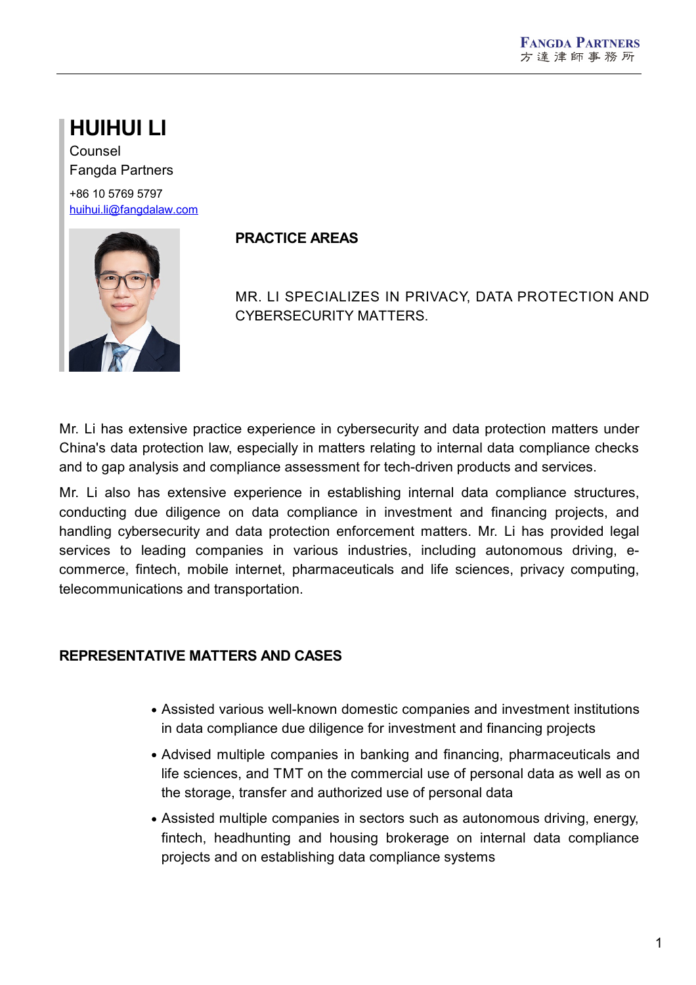# **HUIHUI LI**

Counsel Fangda Partners +86 10 5769 5797 [huihui.li@fangdalaw.com](mailto:huihui.li@fangdalaw.com)



## **PRACTICE AREAS**

MR. LI SPECIALIZES IN PRIVACY, DATA PROTECTION AND CYBERSECURITY MATTERS.

Mr. Li has extensive practice experience in cybersecurity and data protection matters under China's data protection law, especially in matters relating to internal data compliance checks and to gap analysis and compliance assessment for tech-driven products and services.

Mr. Li also has extensive experience in establishing internal data compliance structures, conducting due diligence on data compliance in investment and financing projects, and handling cybersecurity and data protection enforcement matters. Mr. Li has provided legal services to leading companies in various industries, including autonomous driving, e commerce, fintech, mobile internet, pharmaceuticals and life sciences, privacy computing, telecommunications and transportation.

# **REPRESENTATIVE MATTERS AND CASES**

- Assisted various well-known domestic companies and investment institutions in data compliance due diligence for investment and financing projects
- Advised multiple companies in banking and financing, pharmaceuticals and life sciences, and TMT on the commercial use of personal data as well as on the storage, transfer and authorized use of personal data
- Assisted multiple companies in sectors such as autonomous driving, energy, fintech, headhunting and housing brokerage on internal data compliance projects and on establishing data compliance systems